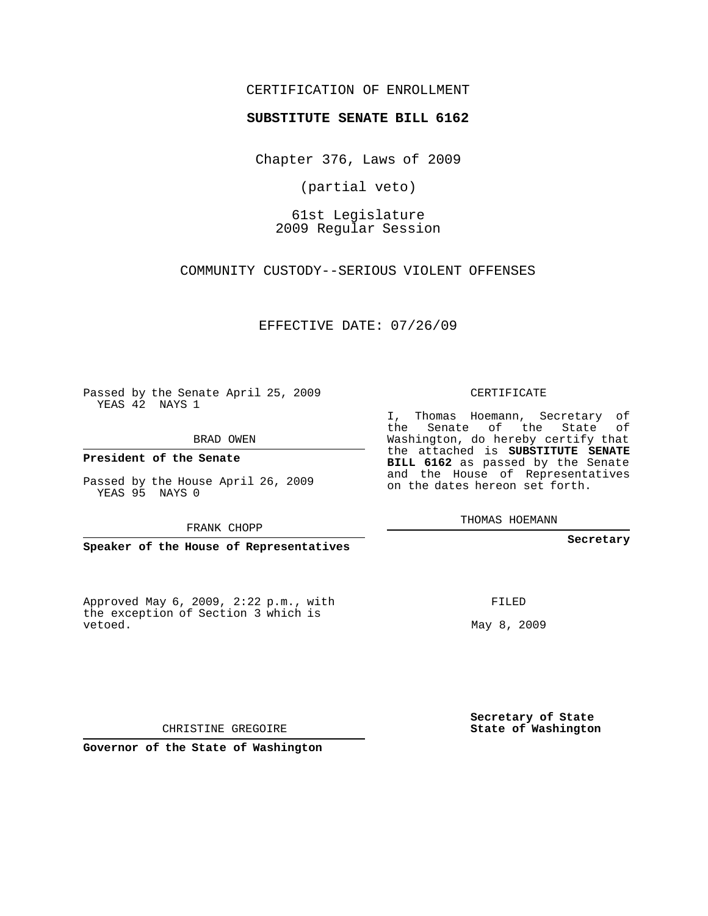## CERTIFICATION OF ENROLLMENT

## **SUBSTITUTE SENATE BILL 6162**

Chapter 376, Laws of 2009

(partial veto)

61st Legislature 2009 Regular Session

COMMUNITY CUSTODY--SERIOUS VIOLENT OFFENSES

EFFECTIVE DATE: 07/26/09

Passed by the Senate April 25, 2009 YEAS 42 NAYS 1

BRAD OWEN

**President of the Senate**

Passed by the House April 26, 2009 YEAS 95 NAYS 0

FRANK CHOPP

**Speaker of the House of Representatives**

Approved May 6, 2009, 2:22 p.m., with the exception of Section 3 which is vetoed.

CERTIFICATE

I, Thomas Hoemann, Secretary of the Senate of the State of Washington, do hereby certify that the attached is **SUBSTITUTE SENATE BILL 6162** as passed by the Senate and the House of Representatives on the dates hereon set forth.

THOMAS HOEMANN

**Secretary**

FILED

May 8, 2009

**Secretary of State State of Washington**

CHRISTINE GREGOIRE

**Governor of the State of Washington**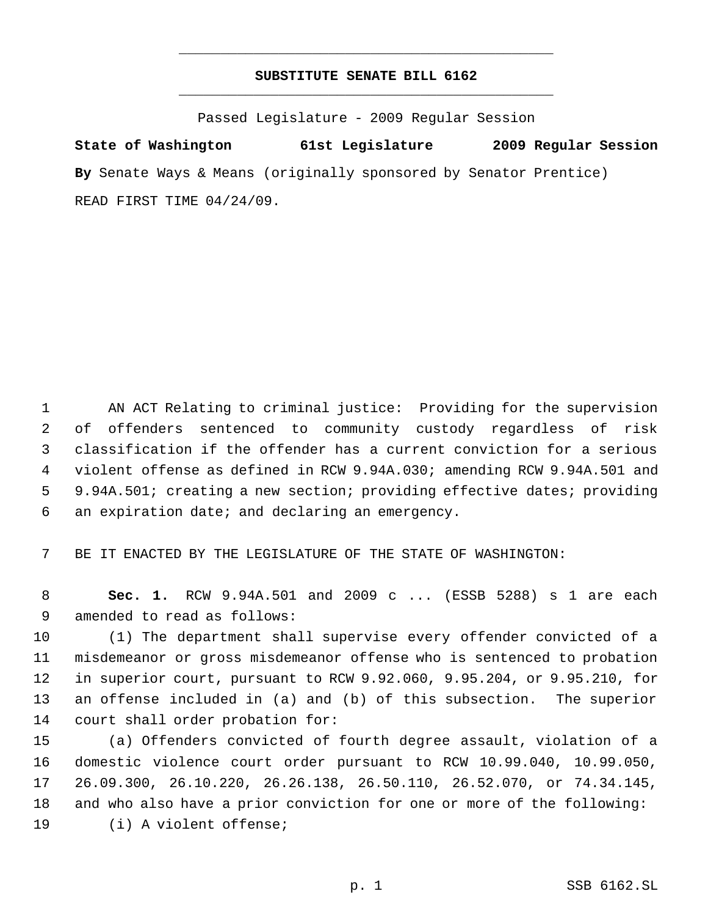## **SUBSTITUTE SENATE BILL 6162** \_\_\_\_\_\_\_\_\_\_\_\_\_\_\_\_\_\_\_\_\_\_\_\_\_\_\_\_\_\_\_\_\_\_\_\_\_\_\_\_\_\_\_\_\_

\_\_\_\_\_\_\_\_\_\_\_\_\_\_\_\_\_\_\_\_\_\_\_\_\_\_\_\_\_\_\_\_\_\_\_\_\_\_\_\_\_\_\_\_\_

Passed Legislature - 2009 Regular Session

**State of Washington 61st Legislature 2009 Regular Session By** Senate Ways & Means (originally sponsored by Senator Prentice) READ FIRST TIME 04/24/09.

 AN ACT Relating to criminal justice: Providing for the supervision of offenders sentenced to community custody regardless of risk classification if the offender has a current conviction for a serious violent offense as defined in RCW 9.94A.030; amending RCW 9.94A.501 and 9.94A.501; creating a new section; providing effective dates; providing an expiration date; and declaring an emergency.

BE IT ENACTED BY THE LEGISLATURE OF THE STATE OF WASHINGTON:

 **Sec. 1.** RCW 9.94A.501 and 2009 c ... (ESSB 5288) s 1 are each amended to read as follows:

 (1) The department shall supervise every offender convicted of a misdemeanor or gross misdemeanor offense who is sentenced to probation in superior court, pursuant to RCW 9.92.060, 9.95.204, or 9.95.210, for an offense included in (a) and (b) of this subsection. The superior court shall order probation for:

 (a) Offenders convicted of fourth degree assault, violation of a domestic violence court order pursuant to RCW 10.99.040, 10.99.050, 26.09.300, 26.10.220, 26.26.138, 26.50.110, 26.52.070, or 74.34.145, and who also have a prior conviction for one or more of the following: (i) A violent offense;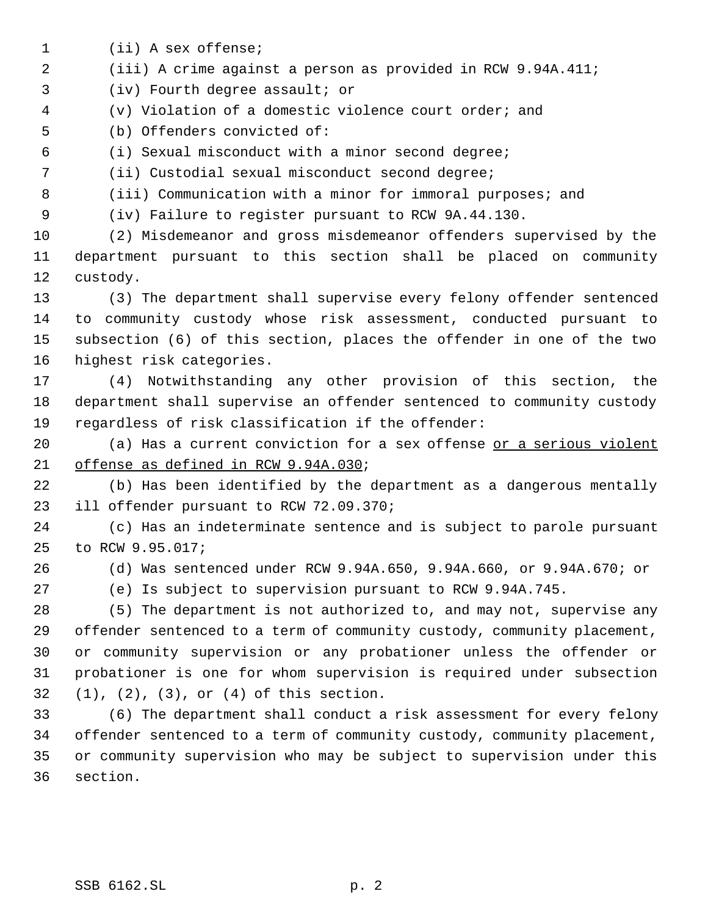- (ii) A sex offense;
- (iii) A crime against a person as provided in RCW 9.94A.411;
- (iv) Fourth degree assault; or
- (v) Violation of a domestic violence court order; and
- (b) Offenders convicted of:
- (i) Sexual misconduct with a minor second degree;
- (ii) Custodial sexual misconduct second degree;
- 8 (iii) Communication with a minor for immoral purposes; and
- 

(iv) Failure to register pursuant to RCW 9A.44.130.

 (2) Misdemeanor and gross misdemeanor offenders supervised by the department pursuant to this section shall be placed on community custody.

 (3) The department shall supervise every felony offender sentenced to community custody whose risk assessment, conducted pursuant to subsection (6) of this section, places the offender in one of the two highest risk categories.

 (4) Notwithstanding any other provision of this section, the department shall supervise an offender sentenced to community custody regardless of risk classification if the offender:

20 (a) Has a current conviction for a sex offense or a serious violent offense as defined in RCW 9.94A.030;

 (b) Has been identified by the department as a dangerous mentally ill offender pursuant to RCW 72.09.370;

 (c) Has an indeterminate sentence and is subject to parole pursuant to RCW 9.95.017;

(d) Was sentenced under RCW 9.94A.650, 9.94A.660, or 9.94A.670; or

(e) Is subject to supervision pursuant to RCW 9.94A.745.

 (5) The department is not authorized to, and may not, supervise any offender sentenced to a term of community custody, community placement, or community supervision or any probationer unless the offender or probationer is one for whom supervision is required under subsection (1), (2), (3), or (4) of this section.

 (6) The department shall conduct a risk assessment for every felony offender sentenced to a term of community custody, community placement, or community supervision who may be subject to supervision under this section.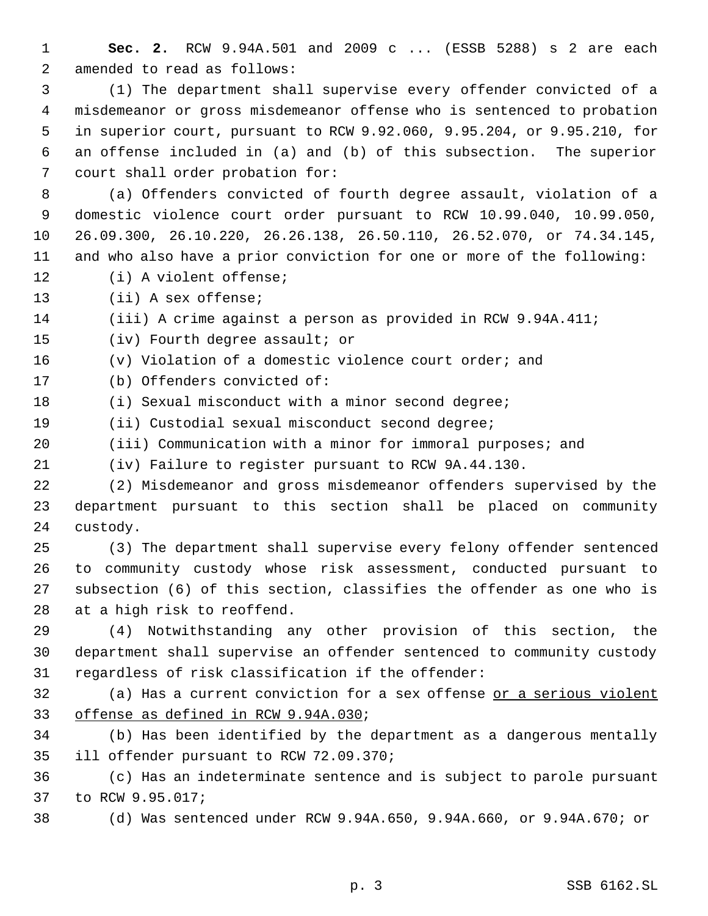**Sec. 2.** RCW 9.94A.501 and 2009 c ... (ESSB 5288) s 2 are each amended to read as follows:

 (1) The department shall supervise every offender convicted of a misdemeanor or gross misdemeanor offense who is sentenced to probation in superior court, pursuant to RCW 9.92.060, 9.95.204, or 9.95.210, for an offense included in (a) and (b) of this subsection. The superior court shall order probation for:

 (a) Offenders convicted of fourth degree assault, violation of a domestic violence court order pursuant to RCW 10.99.040, 10.99.050, 26.09.300, 26.10.220, 26.26.138, 26.50.110, 26.52.070, or 74.34.145, and who also have a prior conviction for one or more of the following: (i) A violent offense;

(ii) A sex offense;

(iii) A crime against a person as provided in RCW 9.94A.411;

(iv) Fourth degree assault; or

- (v) Violation of a domestic violence court order; and
- (b) Offenders convicted of:
- 18 (i) Sexual misconduct with a minor second degree;
- (ii) Custodial sexual misconduct second degree;
- (iii) Communication with a minor for immoral purposes; and

(iv) Failure to register pursuant to RCW 9A.44.130.

 (2) Misdemeanor and gross misdemeanor offenders supervised by the department pursuant to this section shall be placed on community custody.

 (3) The department shall supervise every felony offender sentenced to community custody whose risk assessment, conducted pursuant to subsection (6) of this section, classifies the offender as one who is at a high risk to reoffend.

 (4) Notwithstanding any other provision of this section, the department shall supervise an offender sentenced to community custody regardless of risk classification if the offender:

 (a) Has a current conviction for a sex offense or a serious violent offense as defined in RCW 9.94A.030;

 (b) Has been identified by the department as a dangerous mentally ill offender pursuant to RCW 72.09.370;

 (c) Has an indeterminate sentence and is subject to parole pursuant to RCW 9.95.017;

(d) Was sentenced under RCW 9.94A.650, 9.94A.660, or 9.94A.670; or